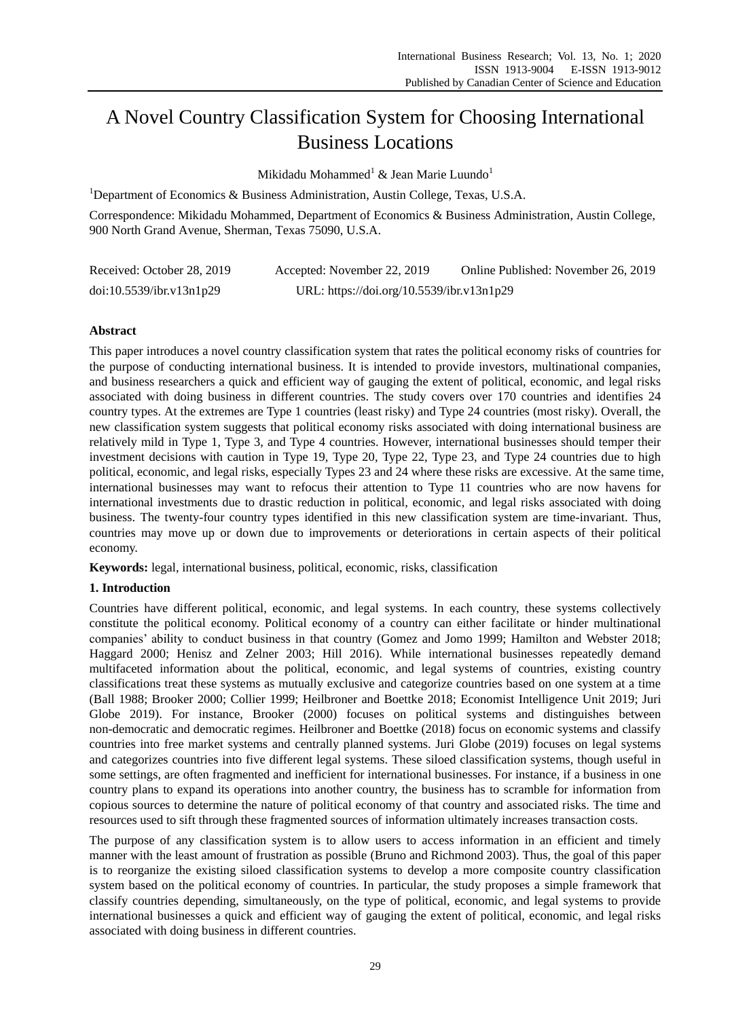# A Novel Country Classification System for Choosing International Business Locations

Mikidadu Mohammed<sup>1</sup> & Jean Marie Luundo<sup>1</sup>

<sup>1</sup>Department of Economics & Business Administration, Austin College, Texas, U.S.A.

Correspondence: Mikidadu Mohammed, Department of Economics & Business Administration, Austin College, 900 North Grand Avenue, Sherman, Texas 75090, U.S.A.

| Received: October 28, 2019 | Accepted: November 22, 2019               | Online Published: November 26, 2019 |
|----------------------------|-------------------------------------------|-------------------------------------|
| doi:10.5539/ibr.v13n1p29   | URL: https://doi.org/10.5539/ibr.v13n1p29 |                                     |

# **Abstract**

This paper introduces a novel country classification system that rates the political economy risks of countries for the purpose of conducting international business. It is intended to provide investors, multinational companies, and business researchers a quick and efficient way of gauging the extent of political, economic, and legal risks associated with doing business in different countries. The study covers over 170 countries and identifies 24 country types. At the extremes are Type 1 countries (least risky) and Type 24 countries (most risky). Overall, the new classification system suggests that political economy risks associated with doing international business are relatively mild in Type 1, Type 3, and Type 4 countries. However, international businesses should temper their investment decisions with caution in Type 19, Type 20, Type 22, Type 23, and Type 24 countries due to high political, economic, and legal risks, especially Types 23 and 24 where these risks are excessive. At the same time, international businesses may want to refocus their attention to Type 11 countries who are now havens for international investments due to drastic reduction in political, economic, and legal risks associated with doing business. The twenty-four country types identified in this new classification system are time-invariant. Thus, countries may move up or down due to improvements or deteriorations in certain aspects of their political economy.

**Keywords:** legal, international business, political, economic, risks, classification

# **1. Introduction**

Countries have different political, economic, and legal systems. In each country, these systems collectively constitute the political economy. Political economy of a country can either facilitate or hinder multinational companies' ability to conduct business in that country (Gomez and Jomo 1999; Hamilton and Webster 2018; Haggard 2000; Henisz and Zelner 2003; Hill 2016). While international businesses repeatedly demand multifaceted information about the political, economic, and legal systems of countries, existing country classifications treat these systems as mutually exclusive and categorize countries based on one system at a time (Ball 1988; Brooker 2000; Collier 1999; Heilbroner and Boettke 2018; Economist Intelligence Unit 2019; Juri Globe 2019). For instance, Brooker (2000) focuses on political systems and distinguishes between non-democratic and democratic regimes. Heilbroner and Boettke (2018) focus on economic systems and classify countries into free market systems and centrally planned systems. Juri Globe (2019) focuses on legal systems and categorizes countries into five different legal systems. These siloed classification systems, though useful in some settings, are often fragmented and inefficient for international businesses. For instance, if a business in one country plans to expand its operations into another country, the business has to scramble for information from copious sources to determine the nature of political economy of that country and associated risks. The time and resources used to sift through these fragmented sources of information ultimately increases transaction costs.

The purpose of any classification system is to allow users to access information in an efficient and timely manner with the least amount of frustration as possible (Bruno and Richmond 2003). Thus, the goal of this paper is to reorganize the existing siloed classification systems to develop a more composite country classification system based on the political economy of countries. In particular, the study proposes a simple framework that classify countries depending, simultaneously, on the type of political, economic, and legal systems to provide international businesses a quick and efficient way of gauging the extent of political, economic, and legal risks associated with doing business in different countries.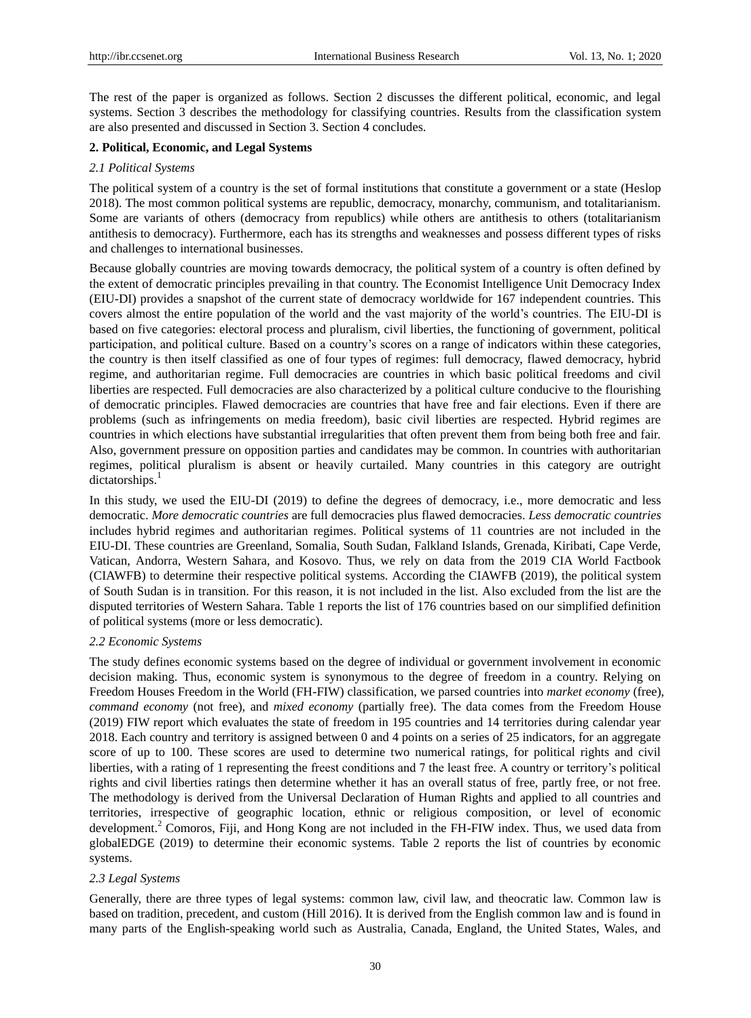The rest of the paper is organized as follows. Section 2 discusses the different political, economic, and legal systems. Section 3 describes the methodology for classifying countries. Results from the classification system are also presented and discussed in Section 3. Section 4 concludes.

## **2. Political, Economic, and Legal Systems**

#### *2.1 Political Systems*

The political system of a country is the set of formal institutions that constitute a government or a state (Heslop 2018). The most common political systems are republic, democracy, monarchy, communism, and totalitarianism. Some are variants of others (democracy from republics) while others are antithesis to others (totalitarianism antithesis to democracy). Furthermore, each has its strengths and weaknesses and possess different types of risks and challenges to international businesses.

Because globally countries are moving towards democracy, the political system of a country is often defined by the extent of democratic principles prevailing in that country. The Economist Intelligence Unit Democracy Index (EIU-DI) provides a snapshot of the current state of democracy worldwide for 167 independent countries. This covers almost the entire population of the world and the vast majority of the world's countries. The EIU-DI is based on five categories: electoral process and pluralism, civil liberties, the functioning of government, political participation, and political culture. Based on a country's scores on a range of indicators within these categories, the country is then itself classified as one of four types of regimes: full democracy, flawed democracy, hybrid regime, and authoritarian regime. Full democracies are countries in which basic political freedoms and civil liberties are respected. Full democracies are also characterized by a political culture conducive to the flourishing of democratic principles. Flawed democracies are countries that have free and fair elections. Even if there are problems (such as infringements on media freedom), basic civil liberties are respected. Hybrid regimes are countries in which elections have substantial irregularities that often prevent them from being both free and fair. Also, government pressure on opposition parties and candidates may be common. In countries with authoritarian regimes, political pluralism is absent or heavily curtailed. Many countries in this category are outright dictatorships.<sup>1</sup>

In this study, we used the EIU-DI (2019) to define the degrees of democracy, i.e., more democratic and less democratic. *More democratic countries* are full democracies plus flawed democracies. *Less democratic countries* includes hybrid regimes and authoritarian regimes. Political systems of 11 countries are not included in the EIU-DI. These countries are Greenland, Somalia, South Sudan, Falkland Islands, Grenada, Kiribati, Cape Verde, Vatican, Andorra, Western Sahara, and Kosovo. Thus, we rely on data from the 2019 CIA World Factbook (CIAWFB) to determine their respective political systems. According the CIAWFB (2019), the political system of South Sudan is in transition. For this reason, it is not included in the list. Also excluded from the list are the disputed territories of Western Sahara. Table 1 reports the list of 176 countries based on our simplified definition of political systems (more or less democratic).

#### *2.2 Economic Systems*

The study defines economic systems based on the degree of individual or government involvement in economic decision making. Thus, economic system is synonymous to the degree of freedom in a country. Relying on Freedom Houses Freedom in the World (FH-FIW) classification, we parsed countries into *market economy* (free), *command economy* (not free), and *mixed economy* (partially free). The data comes from the Freedom House (2019) FIW report which evaluates the state of freedom in 195 countries and 14 territories during calendar year 2018. Each country and territory is assigned between 0 and 4 points on a series of 25 indicators, for an aggregate score of up to 100. These scores are used to determine two numerical ratings, for political rights and civil liberties, with a rating of 1 representing the freest conditions and 7 the least free. A country or territory's political rights and civil liberties ratings then determine whether it has an overall status of free, partly free, or not free. The methodology is derived from the Universal Declaration of Human Rights and applied to all countries and territories, irrespective of geographic location, ethnic or religious composition, or level of economic development.<sup>2</sup> Comoros, Fiji, and Hong Kong are not included in the FH-FIW index. Thus, we used data from globalEDGE (2019) to determine their economic systems. Table 2 reports the list of countries by economic systems.

#### *2.3 Legal Systems*

Generally, there are three types of legal systems: common law, civil law, and theocratic law. Common law is based on tradition, precedent, and custom (Hill 2016). It is derived from the English common law and is found in many parts of the English-speaking world such as Australia, Canada, England, the United States, Wales, and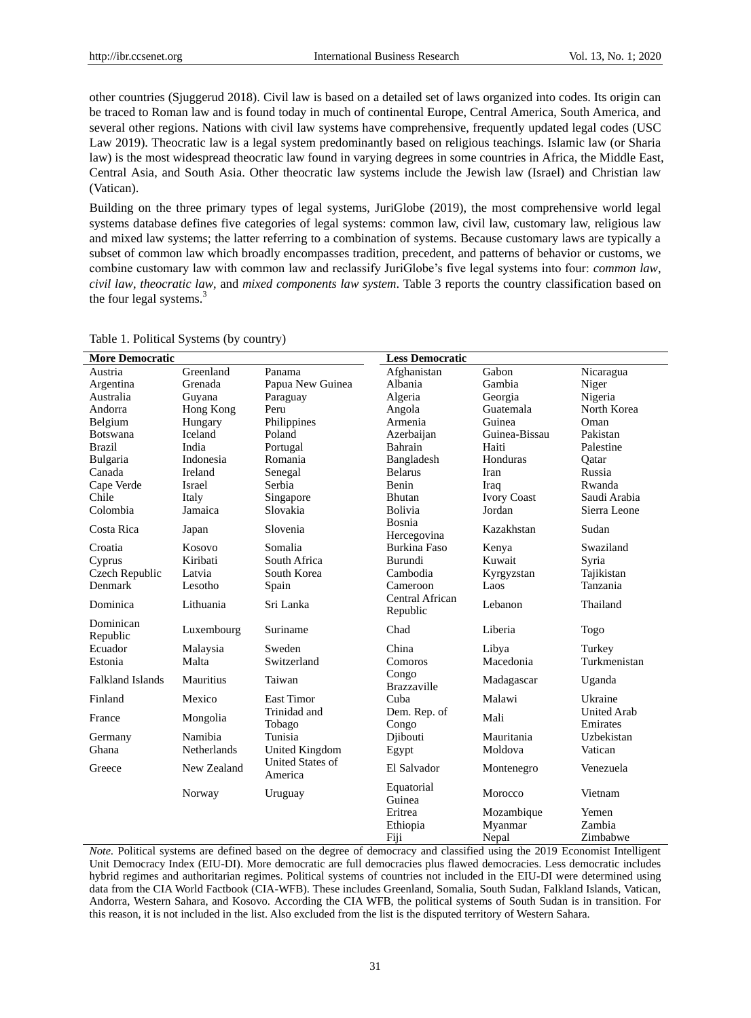other countries (Sjuggerud 2018). Civil law is based on a detailed set of laws organized into codes. Its origin can be traced to Roman law and is found today in much of continental Europe, Central America, South America, and several other regions. Nations with civil law systems have comprehensive, frequently updated legal codes (USC Law 2019). Theocratic law is a legal system predominantly based on religious teachings. Islamic law (or Sharia law) is the most widespread theocratic law found in varying degrees in some countries in Africa, the Middle East, Central Asia, and South Asia. Other theocratic law systems include the Jewish law (Israel) and Christian law (Vatican).

Building on the three primary types of legal systems, JuriGlobe (2019), the most comprehensive world legal systems database defines five categories of legal systems: common law, civil law, customary law, religious law and mixed law systems; the latter referring to a combination of systems. Because customary laws are typically a subset of common law which broadly encompasses tradition, precedent, and patterns of behavior or customs, we combine customary law with common law and reclassify JuriGlobe's five legal systems into four: *common law*, *civil law*, *theocratic law*, and *mixed components law system*. Table 3 reports the country classification based on the four legal systems.<sup>3</sup>

| <b>More Democratic</b>  |                    |                                    | <b>Less Democratic</b>      |                    |                                |
|-------------------------|--------------------|------------------------------------|-----------------------------|--------------------|--------------------------------|
| Austria                 | Greenland          | Panama                             | Afghanistan                 | Gabon              | Nicaragua                      |
| Argentina               | Grenada            | Papua New Guinea                   | Albania                     | Gambia             | Niger                          |
| Australia               | Guyana             | Paraguay                           | Algeria                     | Georgia            | Nigeria                        |
| Andorra                 | Hong Kong          | Peru                               | Angola                      | Guatemala          | North Korea                    |
| Belgium                 | Hungary            | Philippines                        | Armenia                     | Guinea             | Oman                           |
| <b>Botswana</b>         | <b>Iceland</b>     | Poland                             | Azerbaijan                  | Guinea-Bissau      | Pakistan                       |
| <b>Brazil</b>           | India              | Portugal                           | Bahrain                     | Haiti              | Palestine                      |
| Bulgaria                | Indonesia          | Romania                            | Bangladesh                  | Honduras           | Qatar                          |
| Canada                  | Ireland            | Senegal                            | <b>Belarus</b>              | Iran               | Russia                         |
| Cape Verde              | Israel             | Serbia                             | Benin                       | Iraq               | Rwanda                         |
| Chile                   | Italy              | Singapore                          | Bhutan                      | <b>Ivory Coast</b> | Saudi Arabia                   |
| Colombia                | Jamaica            | Slovakia                           | <b>Bolivia</b>              | Jordan             | Sierra Leone                   |
| Costa Rica              | Japan              | Slovenia                           | Bosnia<br>Hercegovina       | Kazakhstan         | Sudan                          |
| Croatia                 | Kosovo             | Somalia                            | <b>Burkina Faso</b>         | Kenya              | Swaziland                      |
| Cyprus                  | Kiribati           | South Africa                       | Burundi                     | Kuwait             | Syria                          |
| Czech Republic          | Latvia             | South Korea                        | Cambodia                    | Kyrgyzstan         | Tajikistan                     |
| Denmark                 | Lesotho            | Spain                              | Cameroon                    | Laos               | Tanzania                       |
| Dominica                | Lithuania          | Sri Lanka                          | Central African<br>Republic | Lebanon            | Thailand                       |
| Dominican<br>Republic   | Luxembourg         | Suriname                           | Chad                        | Liberia            | Togo                           |
| Ecuador                 | Malaysia           | Sweden                             | China                       | Libya              | Turkey                         |
| Estonia                 | Malta              | Switzerland                        | Comoros                     | Macedonia          | Turkmenistan                   |
| <b>Falkland Islands</b> | Mauritius          | Taiwan                             | Congo<br><b>Brazzaville</b> | Madagascar         | Uganda                         |
| Finland                 | Mexico             | <b>East Timor</b>                  | Cuba                        | Malawi             | Ukraine                        |
| France                  | Mongolia           | Trinidad and<br>Tobago             | Dem. Rep. of<br>Congo       | Mali               | <b>United Arab</b><br>Emirates |
| Germany                 | Namibia            | Tunisia                            | Djibouti                    | Mauritania         | Uzbekistan                     |
| Ghana                   | <b>Netherlands</b> | <b>United Kingdom</b>              | Egypt                       | Moldova            | Vatican                        |
| Greece                  | New Zealand        | <b>United States of</b><br>America | El Salvador                 | Montenegro         | Venezuela                      |
|                         | Norway             | Uruguay                            | Equatorial<br>Guinea        | Morocco            | Vietnam                        |
|                         |                    |                                    | Eritrea                     | Mozambique         | Yemen                          |
|                         |                    |                                    | Ethiopia                    | Myanmar            | Zambia                         |
|                         |                    |                                    | Fiji                        | Nepal              | Zimbabwe                       |

Table 1. Political Systems (by country)

*Note.* Political systems are defined based on the degree of democracy and classified using the 2019 Economist Intelligent Unit Democracy Index (EIU-DI). More democratic are full democracies plus flawed democracies. Less democratic includes hybrid regimes and authoritarian regimes. Political systems of countries not included in the EIU-DI were determined using data from the CIA World Factbook (CIA-WFB). These includes Greenland, Somalia, South Sudan, Falkland Islands, Vatican, Andorra, Western Sahara, and Kosovo. According the CIA WFB, the political systems of South Sudan is in transition. For this reason, it is not included in the list. Also excluded from the list is the disputed territory of Western Sahara.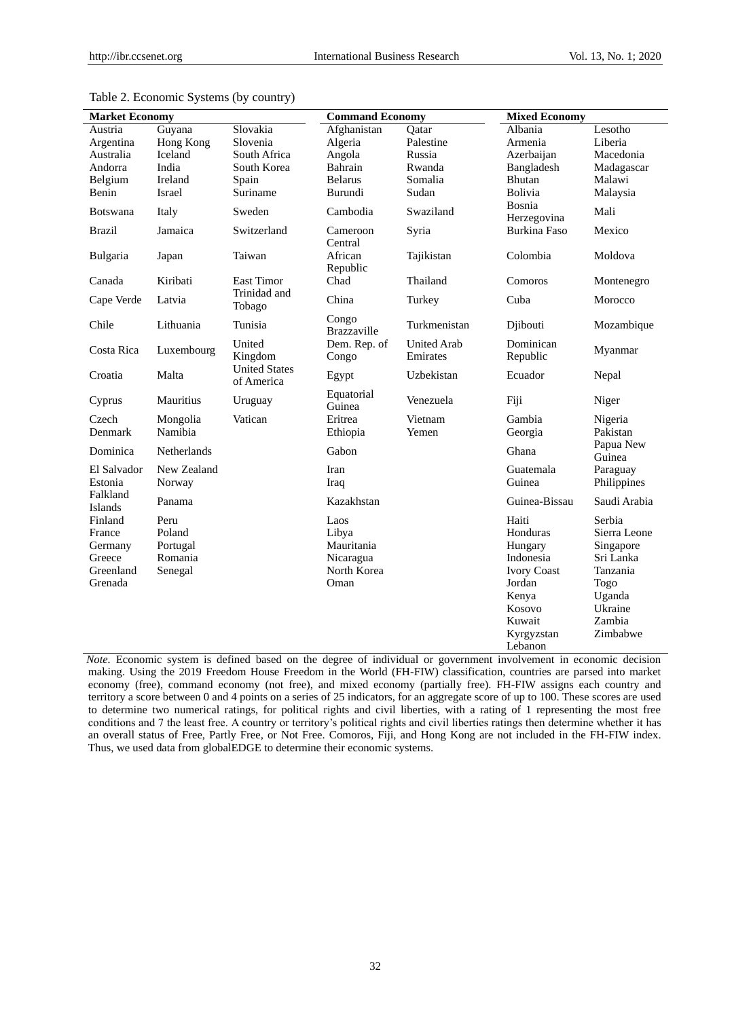| <b>Market Economy</b>                                          |                                                  | <b>Command Economy</b>             |                                                                 | <b>Mixed Economy</b>           |                                                                                                                                 |                                                                                                                 |
|----------------------------------------------------------------|--------------------------------------------------|------------------------------------|-----------------------------------------------------------------|--------------------------------|---------------------------------------------------------------------------------------------------------------------------------|-----------------------------------------------------------------------------------------------------------------|
| Austria                                                        | Guyana                                           | Slovakia                           | Afghanistan                                                     | Oatar                          | Albania                                                                                                                         | Lesotho                                                                                                         |
| Argentina                                                      | Hong Kong                                        | Slovenia                           | Algeria                                                         | Palestine                      | Armenia                                                                                                                         | Liberia                                                                                                         |
| Australia                                                      | <b>Iceland</b>                                   | South Africa                       | Angola                                                          | Russia                         | Azerbaijan                                                                                                                      | Macedonia                                                                                                       |
| Andorra                                                        | India                                            | South Korea                        | Bahrain                                                         | Rwanda                         | Bangladesh                                                                                                                      | Madagascar                                                                                                      |
| Belgium                                                        | Ireland                                          | Spain                              | <b>Belarus</b>                                                  | Somalia                        | <b>Bhutan</b>                                                                                                                   | Malawi                                                                                                          |
| Benin                                                          | Israel                                           | Suriname                           | Burundi                                                         | Sudan                          | Bolivia                                                                                                                         | Malaysia                                                                                                        |
| <b>Botswana</b>                                                | Italy                                            | Sweden                             | Cambodia                                                        | Swaziland                      | Bosnia<br>Herzegovina                                                                                                           | Mali                                                                                                            |
| <b>Brazil</b>                                                  | Jamaica                                          | Switzerland                        | Cameroon<br>Central                                             | Syria                          | <b>Burkina Faso</b>                                                                                                             | Mexico                                                                                                          |
| Bulgaria                                                       | Japan                                            | Taiwan                             | African<br>Republic                                             | Tajikistan                     | Colombia                                                                                                                        | Moldova                                                                                                         |
| Canada                                                         | Kiribati                                         | <b>East Timor</b>                  | Chad                                                            | Thailand                       | Comoros                                                                                                                         | Montenegro                                                                                                      |
| Cape Verde                                                     | Latvia                                           | Trinidad and<br>Tobago             | China                                                           | Turkey                         | Cuba                                                                                                                            | Morocco                                                                                                         |
| Chile                                                          | Lithuania                                        | Tunisia                            | Congo<br><b>Brazzaville</b>                                     | Turkmenistan                   | Djibouti                                                                                                                        | Mozambique                                                                                                      |
| Costa Rica                                                     | Luxembourg                                       | United<br>Kingdom                  | Dem. Rep. of<br>Congo                                           | <b>United Arab</b><br>Emirates | Dominican<br>Republic                                                                                                           | Myanmar                                                                                                         |
| Croatia                                                        | Malta                                            | <b>United States</b><br>of America | Egypt                                                           | Uzbekistan                     | Ecuador                                                                                                                         | Nepal                                                                                                           |
| Cyprus                                                         | Mauritius                                        | Uruguay                            | Equatorial<br>Guinea                                            | Venezuela                      | Fiji                                                                                                                            | Niger                                                                                                           |
| Czech                                                          | Mongolia                                         | Vatican                            | Eritrea                                                         | Vietnam                        | Gambia                                                                                                                          | Nigeria                                                                                                         |
| Denmark                                                        | Namibia                                          |                                    | Ethiopia                                                        | Yemen                          | Georgia                                                                                                                         | Pakistan                                                                                                        |
| Dominica                                                       | <b>Netherlands</b>                               |                                    | Gabon                                                           |                                | Ghana                                                                                                                           | Papua New<br>Guinea                                                                                             |
| El Salvador<br>Estonia                                         | New Zealand<br>Norway                            |                                    | Iran<br>Iraq                                                    |                                | Guatemala<br>Guinea                                                                                                             | Paraguay<br>Philippines                                                                                         |
| Falkland<br>Islands                                            | Panama                                           |                                    | Kazakhstan                                                      |                                | Guinea-Bissau                                                                                                                   | Saudi Arabia                                                                                                    |
| Finland<br>France<br>Germany<br>Greece<br>Greenland<br>Grenada | Peru<br>Poland<br>Portugal<br>Romania<br>Senegal |                                    | Laos<br>Libya<br>Mauritania<br>Nicaragua<br>North Korea<br>Oman |                                | Haiti<br>Honduras<br>Hungary<br>Indonesia<br><b>Ivory Coast</b><br>Jordan<br>Kenya<br>Kosovo<br>Kuwait<br>Kyrgyzstan<br>Lebanon | Serbia<br>Sierra Leone<br>Singapore<br>Sri Lanka<br>Tanzania<br>Togo<br>Uganda<br>Ukraine<br>Zambia<br>Zimbabwe |

## Table 2. Economic Systems (by country)

*Note.* Economic system is defined based on the degree of individual or government involvement in economic decision making. Using the 2019 Freedom House Freedom in the World (FH-FIW) classification, countries are parsed into market economy (free), command economy (not free), and mixed economy (partially free). FH-FIW assigns each country and territory a score between 0 and 4 points on a series of 25 indicators, for an aggregate score of up to 100. These scores are used to determine two numerical ratings, for political rights and civil liberties, with a rating of 1 representing the most free conditions and 7 the least free. A country or territory's political rights and civil liberties ratings then determine whether it has an overall status of Free, Partly Free, or Not Free. Comoros, Fiji, and Hong Kong are not included in the FH-FIW index. Thus, we used data from globalEDGE to determine their economic systems.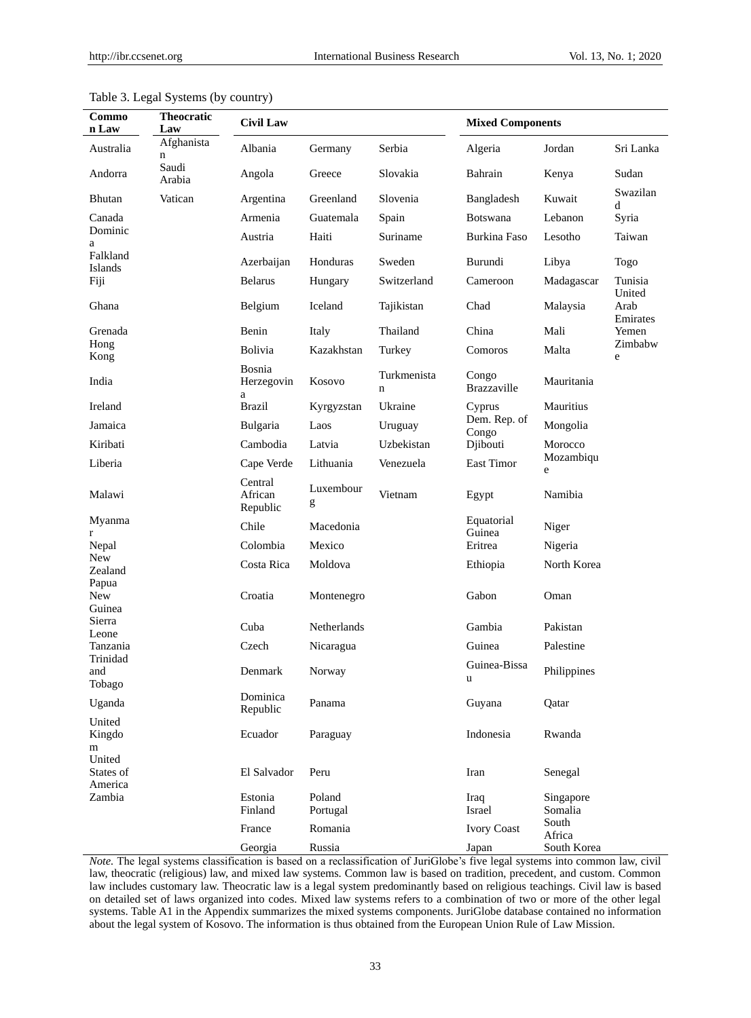| Commo<br>n Law                | $\sim$ <i>j</i> $\sim$ $\sim$ $\sim$ $\sim$ $\sim$<br><b>Theocratic</b><br>Law | <b>Civil Law</b>               | <b>Mixed Components</b> |                  |                             |                               |                   |
|-------------------------------|--------------------------------------------------------------------------------|--------------------------------|-------------------------|------------------|-----------------------------|-------------------------------|-------------------|
| Australia                     | Afghanista<br>n                                                                | Albania                        | Germany                 | Serbia           | Algeria                     | Jordan                        | Sri Lanka         |
| Andorra                       | Saudi<br>Arabia                                                                | Angola                         | Greece                  | Slovakia         | Bahrain                     | Kenya                         | Sudan             |
| <b>Bhutan</b>                 | Vatican                                                                        | Argentina                      | Greenland               | Slovenia         | Bangladesh                  | Kuwait                        | Swazilan<br>d     |
| Canada                        |                                                                                | Armenia                        | Guatemala               | Spain            | Botswana                    | Lebanon                       | Syria             |
| Dominic<br>a                  |                                                                                | Austria                        | Haiti                   | Suriname         | Burkina Faso                | Lesotho                       | Taiwan            |
| Falkland<br>Islands           |                                                                                | Azerbaijan                     | Honduras                | Sweden           | Burundi                     | Libya                         | Togo              |
| Fiji                          |                                                                                | <b>Belarus</b>                 | Hungary                 | Switzerland      | Cameroon                    | Madagascar                    | Tunisia<br>United |
| Ghana                         |                                                                                | Belgium                        | Iceland                 | Tajikistan       | Chad                        | Malaysia                      | Arab<br>Emirates  |
| Grenada                       |                                                                                | Benin                          | Italy                   | Thailand         | China                       | Mali                          | Yemen             |
| Hong<br>Kong                  |                                                                                | Bolivia                        | Kazakhstan              | Turkey           | Comoros                     | Malta                         | Zimbabw<br>e      |
| India                         |                                                                                | Bosnia<br>Herzegovin<br>a      | Kosovo                  | Turkmenista<br>n | Congo<br><b>Brazzaville</b> | Mauritania                    |                   |
| Ireland                       |                                                                                | <b>Brazil</b>                  | Kyrgyzstan              | Ukraine          | Cyprus                      | Mauritius                     |                   |
| Jamaica                       |                                                                                | Bulgaria                       | Laos                    | Uruguay          | Dem. Rep. of<br>Congo       | Mongolia                      |                   |
| Kiribati                      |                                                                                | Cambodia                       | Latvia                  | Uzbekistan       | Djibouti                    | Morocco                       |                   |
| Liberia                       |                                                                                | Cape Verde                     | Lithuania               | Venezuela        | East Timor                  | Mozambiqu<br>e                |                   |
| Malawi                        |                                                                                | Central<br>African<br>Republic | Luxembour<br>g          | Vietnam          | Egypt                       | Namibia                       |                   |
| Myanma<br>r                   |                                                                                | Chile                          | Macedonia               |                  | Equatorial<br>Guinea        | Niger                         |                   |
| Nepal                         |                                                                                | Colombia                       | Mexico                  |                  | Eritrea                     | Nigeria                       |                   |
| <b>New</b><br>Zealand         |                                                                                | Costa Rica                     | Moldova                 |                  | Ethiopia                    | North Korea                   |                   |
| Papua<br><b>New</b><br>Guinea |                                                                                | Croatia                        | Montenegro              |                  | Gabon                       | Oman                          |                   |
| Sierra<br>Leone               |                                                                                | Cuba                           | Netherlands             |                  | Gambia                      | Pakistan                      |                   |
| Tanzania                      |                                                                                | Czech                          | Nicaragua               |                  | Guinea                      | Palestine                     |                   |
| Trinidad<br>and<br>Tobago     |                                                                                | Denmark                        | Norway                  |                  | Guinea-Bissa<br>u           | Philippines                   |                   |
| Uganda                        |                                                                                | Dominica<br>Republic           | Panama                  |                  | Guyana                      | Qatar                         |                   |
| United<br>Kingdo<br>m         |                                                                                | Ecuador                        | Paraguay                |                  | Indonesia                   | Rwanda                        |                   |
| United<br>States of           |                                                                                | El Salvador                    | Peru                    |                  | Iran                        | Senegal                       |                   |
| America<br>Zambia             |                                                                                | Estonia<br>Finland             | Poland<br>Portugal      |                  | Iraq<br>Israel              | Singapore<br>Somalia<br>South |                   |
|                               |                                                                                | France                         | Romania                 |                  | <b>Ivory Coast</b>          | Africa                        |                   |
|                               |                                                                                | Georgia                        | Russia                  |                  | Japan                       | South Korea                   |                   |

# Table 3. Legal Systems (by country)

*Note.* The legal systems classification is based on a reclassification of JuriGlobe's five legal systems into common law, civil law, theocratic (religious) law, and mixed law systems. Common law is based on tradition, precedent, and custom. Common law includes customary law. Theocratic law is a legal system predominantly based on religious teachings. Civil law is based on detailed set of laws organized into codes. Mixed law systems refers to a combination of two or more of the other legal systems. Table A1 in the Appendix summarizes the mixed systems components. JuriGlobe database contained no information about the legal system of Kosovo. The information is thus obtained from the European Union Rule of Law Mission.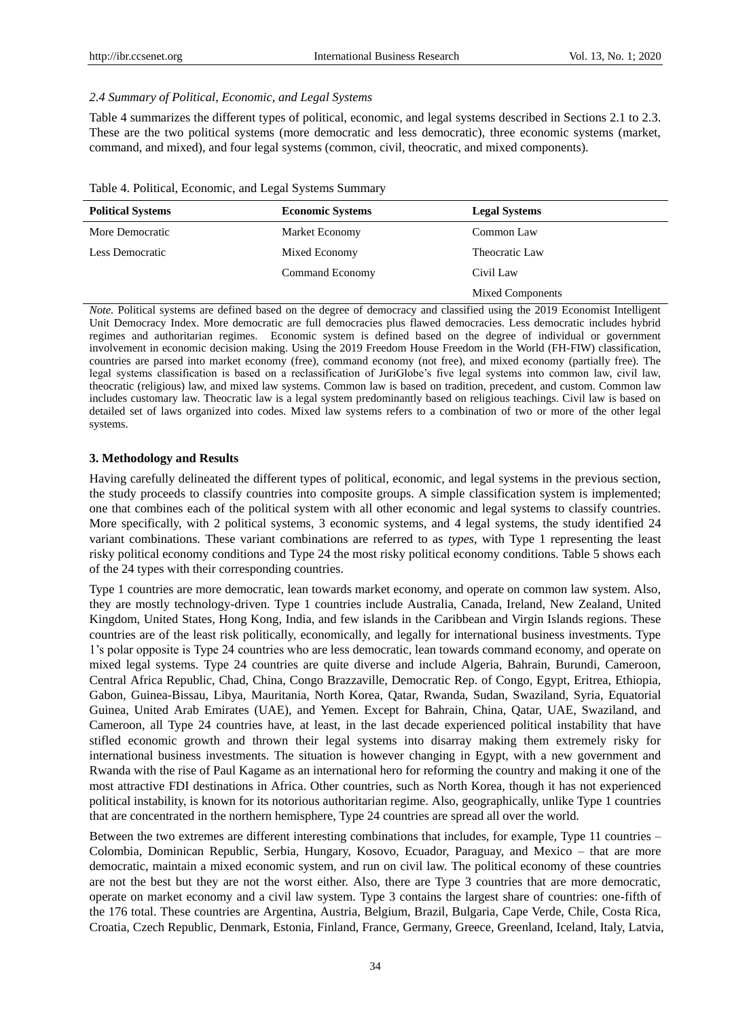#### *2.4 Summary of Political, Economic, and Legal Systems*

Table 4 summarizes the different types of political, economic, and legal systems described in Sections 2.1 to 2.3. These are the two political systems (more democratic and less democratic), three economic systems (market, command, and mixed), and four legal systems (common, civil, theocratic, and mixed components).

| Table 4. Political, Economic, and Legal Systems Summary |  |  |  |  |  |  |
|---------------------------------------------------------|--|--|--|--|--|--|
|---------------------------------------------------------|--|--|--|--|--|--|

| <b>Political Systems</b> | <b>Economic Systems</b> | <b>Legal Systems</b>    |
|--------------------------|-------------------------|-------------------------|
| More Democratic          | Market Economy          | Common Law              |
| Less Democratic          | Mixed Economy           | Theocratic Law          |
|                          | Command Economy         | Civil Law               |
|                          |                         | <b>Mixed Components</b> |

*Note.* Political systems are defined based on the degree of democracy and classified using the 2019 Economist Intelligent Unit Democracy Index. More democratic are full democracies plus flawed democracies. Less democratic includes hybrid regimes and authoritarian regimes. Economic system is defined based on the degree of individual or government involvement in economic decision making. Using the 2019 Freedom House Freedom in the World (FH-FIW) classification, countries are parsed into market economy (free), command economy (not free), and mixed economy (partially free). The legal systems classification is based on a reclassification of JuriGlobe's five legal systems into common law, civil law, theocratic (religious) law, and mixed law systems. Common law is based on tradition, precedent, and custom. Common law includes customary law. Theocratic law is a legal system predominantly based on religious teachings. Civil law is based on detailed set of laws organized into codes. Mixed law systems refers to a combination of two or more of the other legal systems.

## **3. Methodology and Results**

Having carefully delineated the different types of political, economic, and legal systems in the previous section, the study proceeds to classify countries into composite groups. A simple classification system is implemented; one that combines each of the political system with all other economic and legal systems to classify countries. More specifically, with 2 political systems, 3 economic systems, and 4 legal systems, the study identified 24 variant combinations. These variant combinations are referred to as *types*, with Type 1 representing the least risky political economy conditions and Type 24 the most risky political economy conditions. Table 5 shows each of the 24 types with their corresponding countries.

Type 1 countries are more democratic, lean towards market economy, and operate on common law system. Also, they are mostly technology-driven. Type 1 countries include Australia, Canada, Ireland, New Zealand, United Kingdom, United States, Hong Kong, India, and few islands in the Caribbean and Virgin Islands regions. These countries are of the least risk politically, economically, and legally for international business investments. Type 1's polar opposite is Type 24 countries who are less democratic, lean towards command economy, and operate on mixed legal systems. Type 24 countries are quite diverse and include Algeria, Bahrain, Burundi, Cameroon, Central Africa Republic, Chad, China, Congo Brazzaville, Democratic Rep. of Congo, Egypt, Eritrea, Ethiopia, Gabon, Guinea-Bissau, Libya, Mauritania, North Korea, Qatar, Rwanda, Sudan, Swaziland, Syria, Equatorial Guinea, United Arab Emirates (UAE), and Yemen. Except for Bahrain, China, Qatar, UAE, Swaziland, and Cameroon, all Type 24 countries have, at least, in the last decade experienced political instability that have stifled economic growth and thrown their legal systems into disarray making them extremely risky for international business investments. The situation is however changing in Egypt, with a new government and Rwanda with the rise of Paul Kagame as an international hero for reforming the country and making it one of the most attractive FDI destinations in Africa. Other countries, such as North Korea, though it has not experienced political instability, is known for its notorious authoritarian regime. Also, geographically, unlike Type 1 countries that are concentrated in the northern hemisphere, Type 24 countries are spread all over the world.

Between the two extremes are different interesting combinations that includes, for example, Type 11 countries – Colombia, Dominican Republic, Serbia, Hungary, Kosovo, Ecuador, Paraguay, and Mexico – that are more democratic, maintain a mixed economic system, and run on civil law. The political economy of these countries are not the best but they are not the worst either. Also, there are Type 3 countries that are more democratic, operate on market economy and a civil law system. Type 3 contains the largest share of countries: one-fifth of the 176 total. These countries are Argentina, Austria, Belgium, Brazil, Bulgaria, Cape Verde, Chile, Costa Rica, Croatia, Czech Republic, Denmark, Estonia, Finland, France, Germany, Greece, Greenland, Iceland, Italy, Latvia,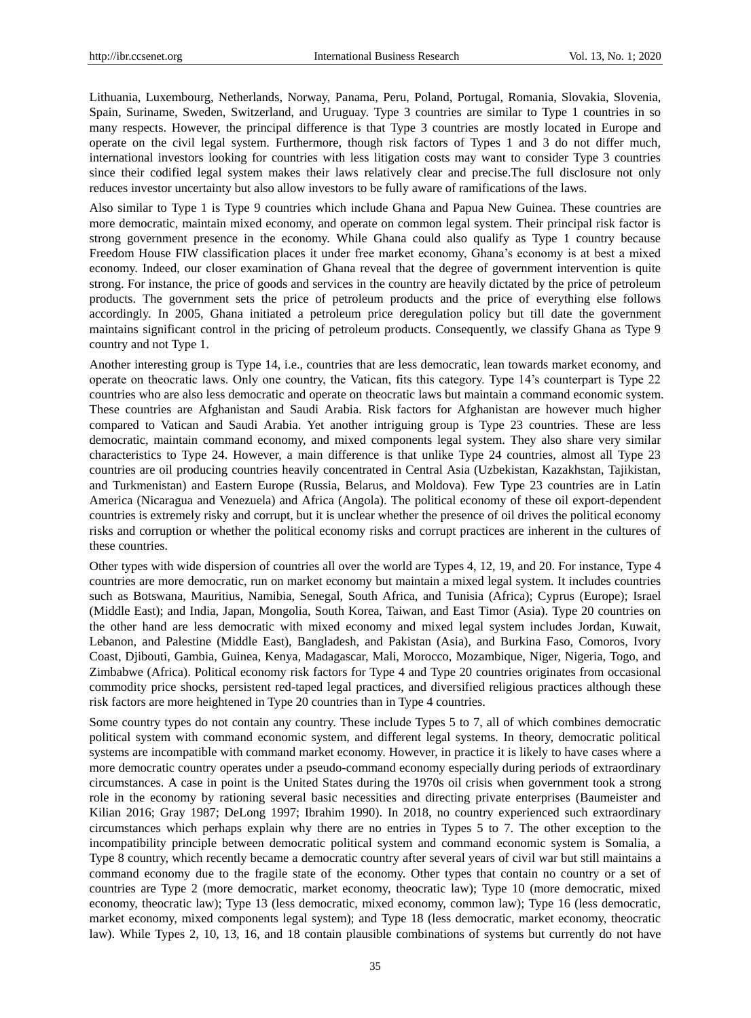Lithuania, Luxembourg, Netherlands, Norway, Panama, Peru, Poland, Portugal, Romania, Slovakia, Slovenia, Spain, Suriname, Sweden, Switzerland, and Uruguay. Type 3 countries are similar to Type 1 countries in so many respects. However, the principal difference is that Type 3 countries are mostly located in Europe and operate on the civil legal system. Furthermore, though risk factors of Types 1 and 3 do not differ much, international investors looking for countries with less litigation costs may want to consider Type 3 countries since their codified legal system makes their laws relatively clear and precise.The full disclosure not only reduces investor uncertainty but also allow investors to be fully aware of ramifications of the laws.

Also similar to Type 1 is Type 9 countries which include Ghana and Papua New Guinea. These countries are more democratic, maintain mixed economy, and operate on common legal system. Their principal risk factor is strong government presence in the economy. While Ghana could also qualify as Type 1 country because Freedom House FIW classification places it under free market economy, Ghana's economy is at best a mixed economy. Indeed, our closer examination of Ghana reveal that the degree of government intervention is quite strong. For instance, the price of goods and services in the country are heavily dictated by the price of petroleum products. The government sets the price of petroleum products and the price of everything else follows accordingly. In 2005, Ghana initiated a petroleum price deregulation policy but till date the government maintains significant control in the pricing of petroleum products. Consequently, we classify Ghana as Type 9 country and not Type 1.

Another interesting group is Type 14, i.e., countries that are less democratic, lean towards market economy, and operate on theocratic laws. Only one country, the Vatican, fits this category. Type 14's counterpart is Type 22 countries who are also less democratic and operate on theocratic laws but maintain a command economic system. These countries are Afghanistan and Saudi Arabia. Risk factors for Afghanistan are however much higher compared to Vatican and Saudi Arabia. Yet another intriguing group is Type 23 countries. These are less democratic, maintain command economy, and mixed components legal system. They also share very similar characteristics to Type 24. However, a main difference is that unlike Type 24 countries, almost all Type 23 countries are oil producing countries heavily concentrated in Central Asia (Uzbekistan, Kazakhstan, Tajikistan, and Turkmenistan) and Eastern Europe (Russia, Belarus, and Moldova). Few Type 23 countries are in Latin America (Nicaragua and Venezuela) and Africa (Angola). The political economy of these oil export-dependent countries is extremely risky and corrupt, but it is unclear whether the presence of oil drives the political economy risks and corruption or whether the political economy risks and corrupt practices are inherent in the cultures of these countries.

Other types with wide dispersion of countries all over the world are Types 4, 12, 19, and 20. For instance, Type 4 countries are more democratic, run on market economy but maintain a mixed legal system. It includes countries such as Botswana, Mauritius, Namibia, Senegal, South Africa, and Tunisia (Africa); Cyprus (Europe); Israel (Middle East); and India, Japan, Mongolia, South Korea, Taiwan, and East Timor (Asia). Type 20 countries on the other hand are less democratic with mixed economy and mixed legal system includes Jordan, Kuwait, Lebanon, and Palestine (Middle East), Bangladesh, and Pakistan (Asia), and Burkina Faso, Comoros, Ivory Coast, Djibouti, Gambia, Guinea, Kenya, Madagascar, Mali, Morocco, Mozambique, Niger, Nigeria, Togo, and Zimbabwe (Africa). Political economy risk factors for Type 4 and Type 20 countries originates from occasional commodity price shocks, persistent red-taped legal practices, and diversified religious practices although these risk factors are more heightened in Type 20 countries than in Type 4 countries.

Some country types do not contain any country. These include Types 5 to 7, all of which combines democratic political system with command economic system, and different legal systems. In theory, democratic political systems are incompatible with command market economy. However, in practice it is likely to have cases where a more democratic country operates under a pseudo-command economy especially during periods of extraordinary circumstances. A case in point is the United States during the 1970s oil crisis when government took a strong role in the economy by rationing several basic necessities and directing private enterprises (Baumeister and Kilian 2016; Gray 1987; DeLong 1997; Ibrahim 1990). In 2018, no country experienced such extraordinary circumstances which perhaps explain why there are no entries in Types 5 to 7. The other exception to the incompatibility principle between democratic political system and command economic system is Somalia, a Type 8 country, which recently became a democratic country after several years of civil war but still maintains a command economy due to the fragile state of the economy. Other types that contain no country or a set of countries are Type 2 (more democratic, market economy, theocratic law); Type 10 (more democratic, mixed economy, theocratic law); Type 13 (less democratic, mixed economy, common law); Type 16 (less democratic, market economy, mixed components legal system); and Type 18 (less democratic, market economy, theocratic law). While Types 2, 10, 13, 16, and 18 contain plausible combinations of systems but currently do not have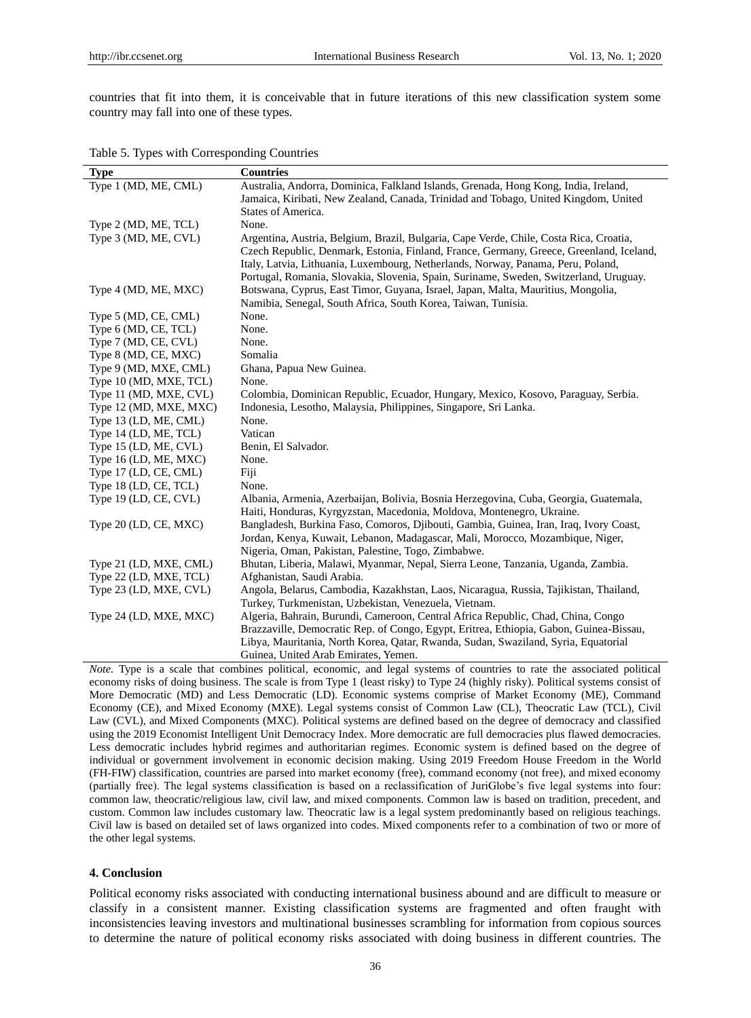countries that fit into them, it is conceivable that in future iterations of this new classification system some country may fall into one of these types.

Table 5. Types with Corresponding Countries

| <b>Type</b>             | <b>Countries</b>                                                                        |
|-------------------------|-----------------------------------------------------------------------------------------|
| Type 1 (MD, ME, CML)    | Australia, Andorra, Dominica, Falkland Islands, Grenada, Hong Kong, India, Ireland,     |
|                         | Jamaica, Kiribati, New Zealand, Canada, Trinidad and Tobago, United Kingdom, United     |
|                         | States of America.                                                                      |
| Type 2 (MD, ME, TCL)    | None.                                                                                   |
| Type 3 (MD, ME, CVL)    | Argentina, Austria, Belgium, Brazil, Bulgaria, Cape Verde, Chile, Costa Rica, Croatia,  |
|                         | Czech Republic, Denmark, Estonia, Finland, France, Germany, Greece, Greenland, Iceland, |
|                         | Italy, Latvia, Lithuania, Luxembourg, Netherlands, Norway, Panama, Peru, Poland,        |
|                         | Portugal, Romania, Slovakia, Slovenia, Spain, Suriname, Sweden, Switzerland, Uruguay.   |
| Type 4 (MD, ME, MXC)    | Botswana, Cyprus, East Timor, Guyana, Israel, Japan, Malta, Mauritius, Mongolia,        |
|                         | Namibia, Senegal, South Africa, South Korea, Taiwan, Tunisia.                           |
| Type 5 (MD, CE, CML)    | None.                                                                                   |
| Type 6 (MD, CE, TCL)    | None.                                                                                   |
| Type 7 (MD, CE, CVL)    | None.                                                                                   |
| Type 8 (MD, CE, MXC)    | Somalia                                                                                 |
| Type 9 (MD, MXE, CML)   | Ghana, Papua New Guinea.                                                                |
| Type 10 (MD, MXE, TCL)  | None.                                                                                   |
| Type 11 (MD, MXE, CVL)  | Colombia, Dominican Republic, Ecuador, Hungary, Mexico, Kosovo, Paraguay, Serbia.       |
| Type 12 (MD, MXE, MXC)  | Indonesia, Lesotho, Malaysia, Philippines, Singapore, Sri Lanka.                        |
| Type 13 (LD, ME, CML)   | None.                                                                                   |
| Type 14 (LD, ME, TCL)   | Vatican                                                                                 |
| Type 15 (LD, ME, CVL)   | Benin, El Salvador.                                                                     |
| Type 16 (LD, ME, MXC)   | None.                                                                                   |
| Type 17 (LD, CE, CML)   | Fiji                                                                                    |
| Type 18 (LD, CE, TCL)   | None.                                                                                   |
| Type 19 (LD, CE, CVL)   | Albania, Armenia, Azerbaijan, Bolivia, Bosnia Herzegovina, Cuba, Georgia, Guatemala,    |
|                         | Haiti, Honduras, Kyrgyzstan, Macedonia, Moldova, Montenegro, Ukraine.                   |
| Type $20$ (LD, CE, MXC) | Bangladesh, Burkina Faso, Comoros, Djibouti, Gambia, Guinea, Iran, Iraq, Ivory Coast,   |
|                         | Jordan, Kenya, Kuwait, Lebanon, Madagascar, Mali, Morocco, Mozambique, Niger,           |
|                         | Nigeria, Oman, Pakistan, Palestine, Togo, Zimbabwe.                                     |
| Type 21 (LD, MXE, CML)  | Bhutan, Liberia, Malawi, Myanmar, Nepal, Sierra Leone, Tanzania, Uganda, Zambia.        |
| Type 22 (LD, MXE, TCL)  | Afghanistan, Saudi Arabia.                                                              |
| Type 23 (LD, MXE, CVL)  | Angola, Belarus, Cambodia, Kazakhstan, Laos, Nicaragua, Russia, Tajikistan, Thailand,   |
|                         | Turkey, Turkmenistan, Uzbekistan, Venezuela, Vietnam.                                   |
| Type 24 (LD, MXE, MXC)  | Algeria, Bahrain, Burundi, Cameroon, Central Africa Republic, Chad, China, Congo        |
|                         | Brazzaville, Democratic Rep. of Congo, Egypt, Eritrea, Ethiopia, Gabon, Guinea-Bissau,  |
|                         | Libya, Mauritania, North Korea, Qatar, Rwanda, Sudan, Swaziland, Syria, Equatorial      |
|                         | Guinea, United Arab Emirates, Yemen.                                                    |

*Note.* Type is a scale that combines political, economic, and legal systems of countries to rate the associated political economy risks of doing business. The scale is from Type 1 (least risky) to Type 24 (highly risky). Political systems consist of More Democratic (MD) and Less Democratic (LD). Economic systems comprise of Market Economy (ME), Command Economy (CE), and Mixed Economy (MXE). Legal systems consist of Common Law (CL), Theocratic Law (TCL), Civil Law (CVL), and Mixed Components (MXC). Political systems are defined based on the degree of democracy and classified using the 2019 Economist Intelligent Unit Democracy Index. More democratic are full democracies plus flawed democracies. Less democratic includes hybrid regimes and authoritarian regimes. Economic system is defined based on the degree of individual or government involvement in economic decision making. Using 2019 Freedom House Freedom in the World (FH-FIW) classification, countries are parsed into market economy (free), command economy (not free), and mixed economy (partially free). The legal systems classification is based on a reclassification of JuriGlobe's five legal systems into four: common law, theocratic/religious law, civil law, and mixed components. Common law is based on tradition, precedent, and custom. Common law includes customary law. Theocratic law is a legal system predominantly based on religious teachings. Civil law is based on detailed set of laws organized into codes. Mixed components refer to a combination of two or more of the other legal systems.

# **4. Conclusion**

Political economy risks associated with conducting international business abound and are difficult to measure or classify in a consistent manner. Existing classification systems are fragmented and often fraught with inconsistencies leaving investors and multinational businesses scrambling for information from copious sources to determine the nature of political economy risks associated with doing business in different countries. The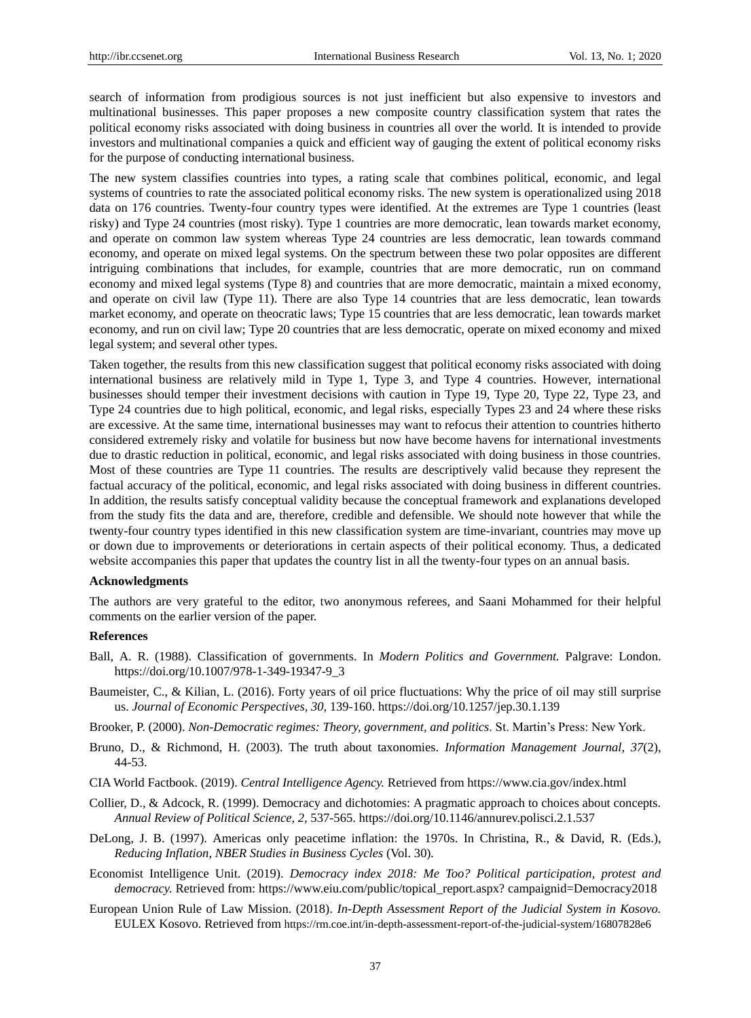search of information from prodigious sources is not just inefficient but also expensive to investors and multinational businesses. This paper proposes a new composite country classification system that rates the political economy risks associated with doing business in countries all over the world. It is intended to provide investors and multinational companies a quick and efficient way of gauging the extent of political economy risks for the purpose of conducting international business.

The new system classifies countries into types, a rating scale that combines political, economic, and legal systems of countries to rate the associated political economy risks. The new system is operationalized using 2018 data on 176 countries. Twenty-four country types were identified. At the extremes are Type 1 countries (least risky) and Type 24 countries (most risky). Type 1 countries are more democratic, lean towards market economy, and operate on common law system whereas Type 24 countries are less democratic, lean towards command economy, and operate on mixed legal systems. On the spectrum between these two polar opposites are different intriguing combinations that includes, for example, countries that are more democratic, run on command economy and mixed legal systems (Type 8) and countries that are more democratic, maintain a mixed economy, and operate on civil law (Type 11). There are also Type 14 countries that are less democratic, lean towards market economy, and operate on theocratic laws; Type 15 countries that are less democratic, lean towards market economy, and run on civil law; Type 20 countries that are less democratic, operate on mixed economy and mixed legal system; and several other types.

Taken together, the results from this new classification suggest that political economy risks associated with doing international business are relatively mild in Type 1, Type 3, and Type 4 countries. However, international businesses should temper their investment decisions with caution in Type 19, Type 20, Type 22, Type 23, and Type 24 countries due to high political, economic, and legal risks, especially Types 23 and 24 where these risks are excessive. At the same time, international businesses may want to refocus their attention to countries hitherto considered extremely risky and volatile for business but now have become havens for international investments due to drastic reduction in political, economic, and legal risks associated with doing business in those countries. Most of these countries are Type 11 countries. The results are descriptively valid because they represent the factual accuracy of the political, economic, and legal risks associated with doing business in different countries. In addition, the results satisfy conceptual validity because the conceptual framework and explanations developed from the study fits the data and are, therefore, credible and defensible. We should note however that while the twenty-four country types identified in this new classification system are time-invariant, countries may move up or down due to improvements or deteriorations in certain aspects of their political economy. Thus, a dedicated website accompanies this paper that updates the country list in all the twenty-four types on an annual basis.

#### **Acknowledgments**

The authors are very grateful to the editor, two anonymous referees, and Saani Mohammed for their helpful comments on the earlier version of the paper.

#### **References**

- Ball, A. R. (1988). Classification of governments. In *Modern Politics and Government.* Palgrave: London. https://doi.org/10.1007/978-1-349-19347-9\_3
- Baumeister, C., & Kilian, L. (2016). Forty years of oil price fluctuations: Why the price of oil may still surprise us. *Journal of Economic Perspectives, 30,* 139-160. https://doi.org/10.1257/jep.30.1.139
- Brooker, P. (2000). *Non-Democratic regimes: Theory, government, and politics*. St. Martin's Press: New York.
- Bruno, D., & Richmond, H. (2003). The truth about taxonomies. *Information Management Journal, 37*(2), 44-53.
- CIA World Factbook. (2019). *Central Intelligence Agency.* Retrieved from https://www.cia.gov/index.html
- Collier, D., & Adcock, R. (1999). Democracy and dichotomies: A pragmatic approach to choices about concepts. *Annual Review of Political Science, 2,* 537-565. https://doi.org/10.1146/annurev.polisci.2.1.537
- DeLong, J. B. (1997). Americas only peacetime inflation: the 1970s. In Christina, R., & David, R. (Eds.), *Reducing Inflation, NBER Studies in Business Cycles* (Vol. 30)*.*
- Economist Intelligence Unit. (2019). *Democracy index 2018: Me Too? Political participation, protest and democracy.* Retrieved from: https://www.eiu.com/public/topical\_report.aspx? campaignid=Democracy2018
- European Union Rule of Law Mission. (2018). *In-Depth Assessment Report of the Judicial System in Kosovo.*  EULEX Kosovo. Retrieved from https://rm.coe.int/in-depth-assessment-report-of-the-judicial-system/16807828e6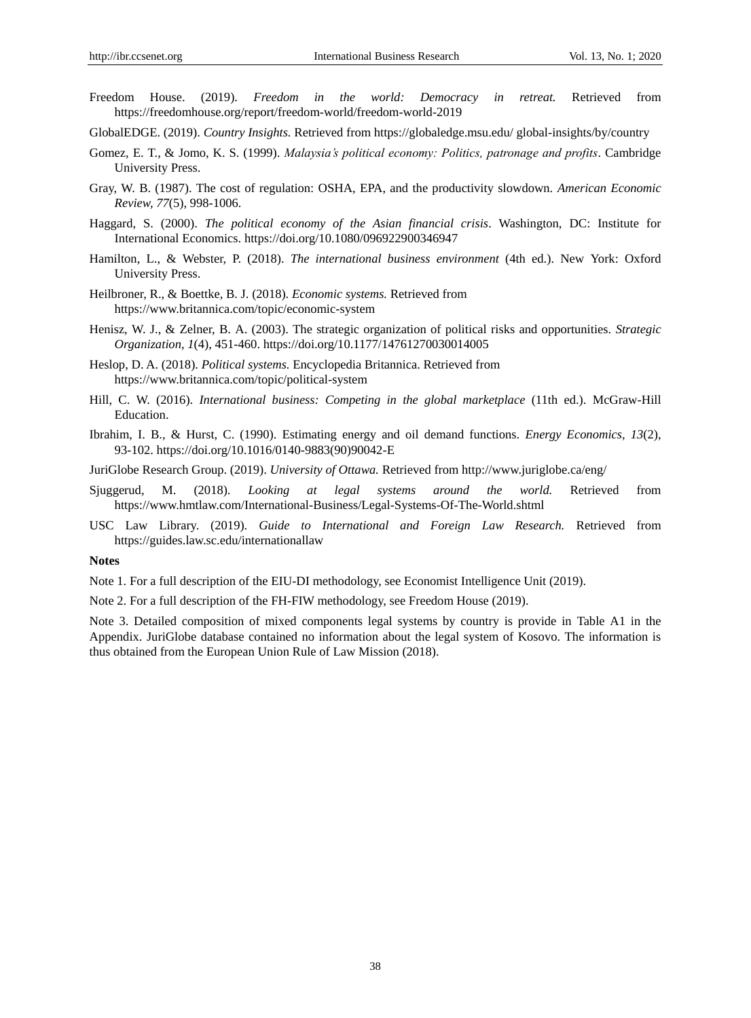- Freedom House. (2019). *Freedom in the world: Democracy in retreat.* Retrieved from https://freedomhouse.org/report/freedom-world/freedom-world-2019
- GlobalEDGE. (2019). *Country Insights.* Retrieved from https://globaledge.msu.edu/ global-insights/by/country
- Gomez, E. T., & Jomo, K. S. (1999). *Malaysia's political economy: Politics, patronage and profits*. Cambridge University Press.
- Gray, W. B. (1987). The cost of regulation: OSHA, EPA, and the productivity slowdown. *American Economic Review, 77*(5), 998-1006.
- Haggard, S. (2000). *The political economy of the Asian financial crisis*. Washington, DC: Institute for International Economics. https://doi.org/10.1080/096922900346947
- Hamilton, L., & Webster, P. (2018). *The international business environment* (4th ed.). New York: Oxford University Press.
- Heilbroner, R., & Boettke, B. J. (2018). *Economic systems.* Retrieved from https://www.britannica.com/topic/economic-system
- Henisz, W. J., & Zelner, B. A. (2003). The strategic organization of political risks and opportunities. *Strategic Organization, 1*(4), 451-460. https://doi.org/10.1177/14761270030014005
- Heslop, D. A. (2018). *Political systems.* Encyclopedia Britannica. Retrieved from https://www.britannica.com/topic/political-system
- Hill, C. W. (2016). *International business: Competing in the global marketplace* (11th ed.). McGraw-Hill Education.
- Ibrahim, I. B., & Hurst, C. (1990). Estimating energy and oil demand functions. *Energy Economics, 13*(2), 93-102. https://doi.org/10.1016/0140-9883(90)90042-E
- JuriGlobe Research Group. (2019). *University of Ottawa.* Retrieved from http://www.juriglobe.ca/eng/
- Sjuggerud, M. (2018). *Looking at legal systems around the world.* Retrieved from https://www.hmtlaw.com/International-Business/Legal-Systems-Of-The-World.shtml
- USC Law Library. (2019). *Guide to International and Foreign Law Research.* Retrieved from https://guides.law.sc.edu/internationallaw

## **Notes**

Note 1. For a full description of the EIU-DI methodology, see Economist Intelligence Unit (2019).

Note 2. For a full description of the FH-FIW methodology, see Freedom House (2019).

Note 3. Detailed composition of mixed components legal systems by country is provide in Table A1 in the Appendix. JuriGlobe database contained no information about the legal system of Kosovo. The information is thus obtained from the European Union Rule of Law Mission (2018).